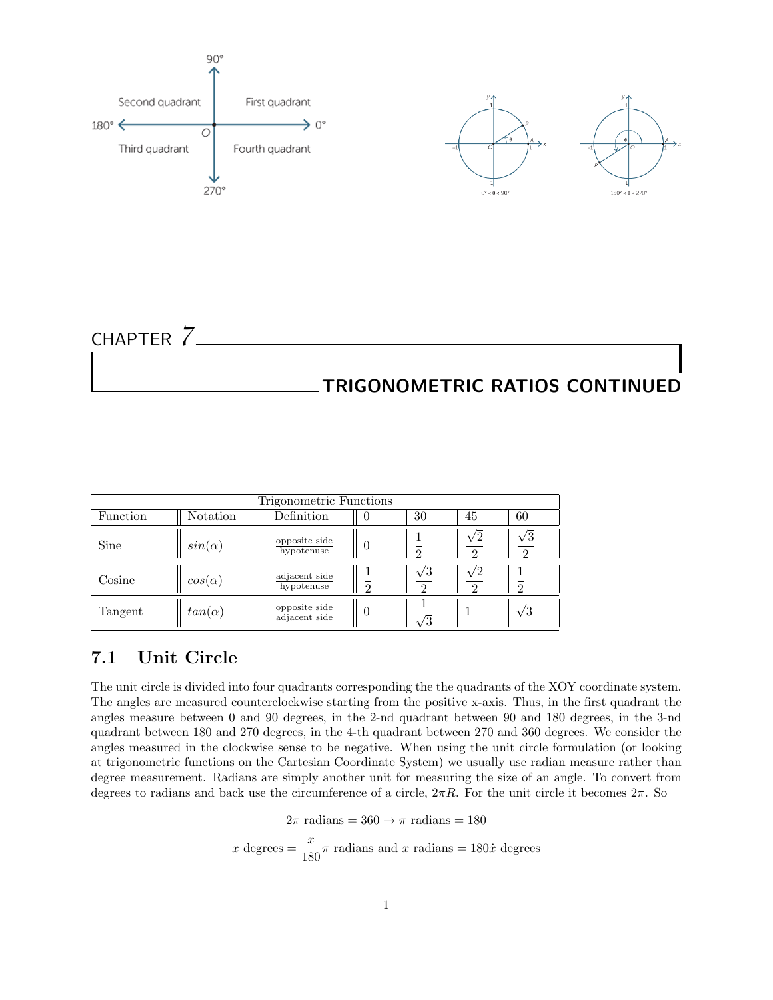

CHAPTER *7* TRIGONOMETRIC RATIOS CONTINUED

| Trigonometric Functions |               |                                |   |                        |                        |                        |  |  |  |
|-------------------------|---------------|--------------------------------|---|------------------------|------------------------|------------------------|--|--|--|
| Function                | Notation      | Definition                     |   | 30                     | 45                     | 60                     |  |  |  |
| Sine                    | $sin(\alpha)$ | opposite side<br>hypotenuse    |   | റ                      | $\sqrt{2}$<br>$\Omega$ | $\sqrt{3}$<br>$\Omega$ |  |  |  |
| Cosine                  | $cos(\alpha)$ | adjacent side<br>hypotenuse    | റ | $\sqrt{3}$<br>$\Omega$ | $\sqrt{2}$<br>$\Omega$ | റ                      |  |  |  |
| Tangent                 | $tan(\alpha)$ | opposite side<br>adjacent side |   | /হ                     |                        | $\sqrt{3}$             |  |  |  |

# 7.1 Unit Circle

The unit circle is divided into four quadrants corresponding the the quadrants of the XOY coordinate system. The angles are measured counterclockwise starting from the positive x-axis. Thus, in the first quadrant the angles measure between 0 and 90 degrees, in the 2-nd quadrant between 90 and 180 degrees, in the 3-nd quadrant between 180 and 270 degrees, in the 4-th quadrant between 270 and 360 degrees. We consider the angles measured in the clockwise sense to be negative. When using the unit circle formulation (or looking at trigonometric functions on the Cartesian Coordinate System) we usually use radian measure rather than degree measurement. Radians are simply another unit for measuring the size of an angle. To convert from degrees to radians and back use the circumference of a circle,  $2\pi R$ . For the unit circle it becomes  $2\pi$ . So

 $2\pi$  radians = 360  $\rightarrow \pi$  radians = 180

x degrees =  $\frac{x}{180}\pi$  radians and x radians = 180 $\dot{x}$  degrees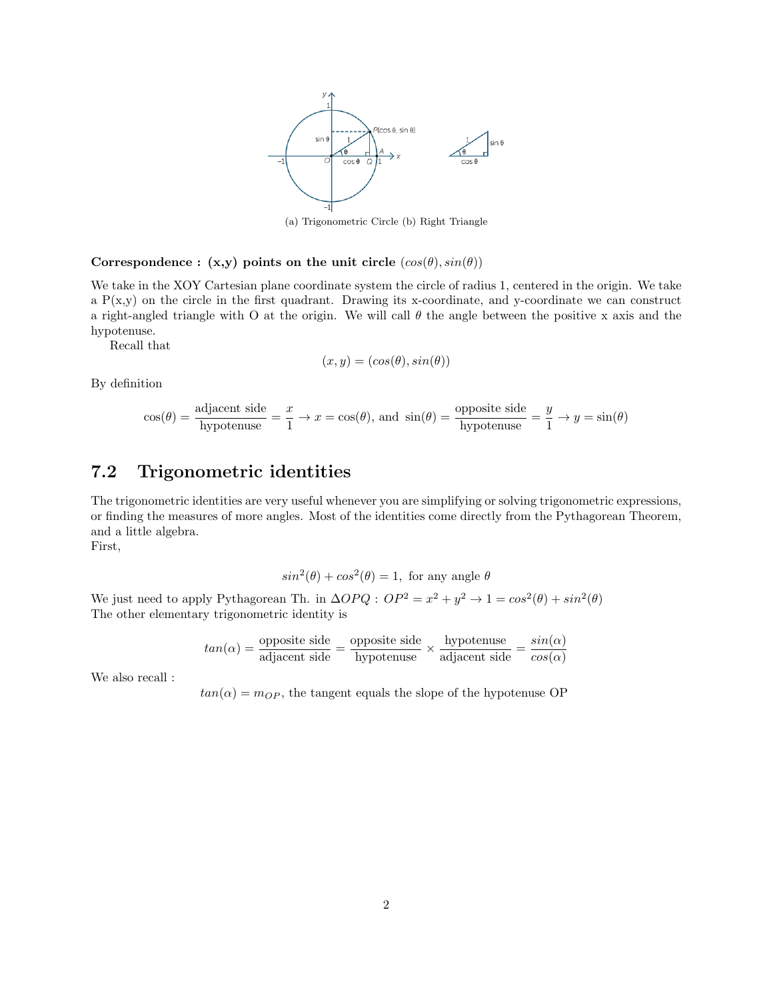

(a) Trigonometric Circle (b) Right Triangle

### Correspondence :  $(x,y)$  points on the unit circle  $(cos(\theta), sin(\theta))$

We take in the XOY Cartesian plane coordinate system the circle of radius 1, centered in the origin. We take a  $P(x,y)$  on the circle in the first quadrant. Drawing its x-coordinate, and y-coordinate we can construct a right-angled triangle with O at the origin. We will call  $\theta$  the angle between the positive x axis and the hypotenuse.

Recall that

$$
(x, y) = (cos(\theta), sin(\theta))
$$

By definition

$$
\cos(\theta) = \frac{\text{adjacent side}}{\text{hypotenuse}} = \frac{x}{1} \to x = \cos(\theta), \text{ and } \sin(\theta) = \frac{\text{opposite side}}{\text{hypotenuse}} = \frac{y}{1} \to y = \sin(\theta)
$$

## 7.2 Trigonometric identities

The trigonometric identities are very useful whenever you are simplifying or solving trigonometric expressions, or finding the measures of more angles. Most of the identities come directly from the Pythagorean Theorem, and a little algebra.

First,

$$
\sin^2(\theta) + \cos^2(\theta) = 1
$$
, for any angle  $\theta$ 

We just need to apply Pythagorean Th. in  $\Delta OPQ$ :  $OP^2 = x^2 + y^2 \rightarrow 1 = \cos^2(\theta) + \sin^2(\theta)$ The other elementary trigonometric identity is

$$
tan(\alpha) = \frac{\text{opposite side}}{\text{adjacent side}} = \frac{\text{opposite side}}{\text{hypotenuse}} \times \frac{\text{hypotenuse}}{\text{adjacent side}} = \frac{sin(\alpha)}{cos(\alpha)}
$$

We also recall :

 $tan(\alpha) = m_{OP}$ , the tangent equals the slope of the hypotenuse OP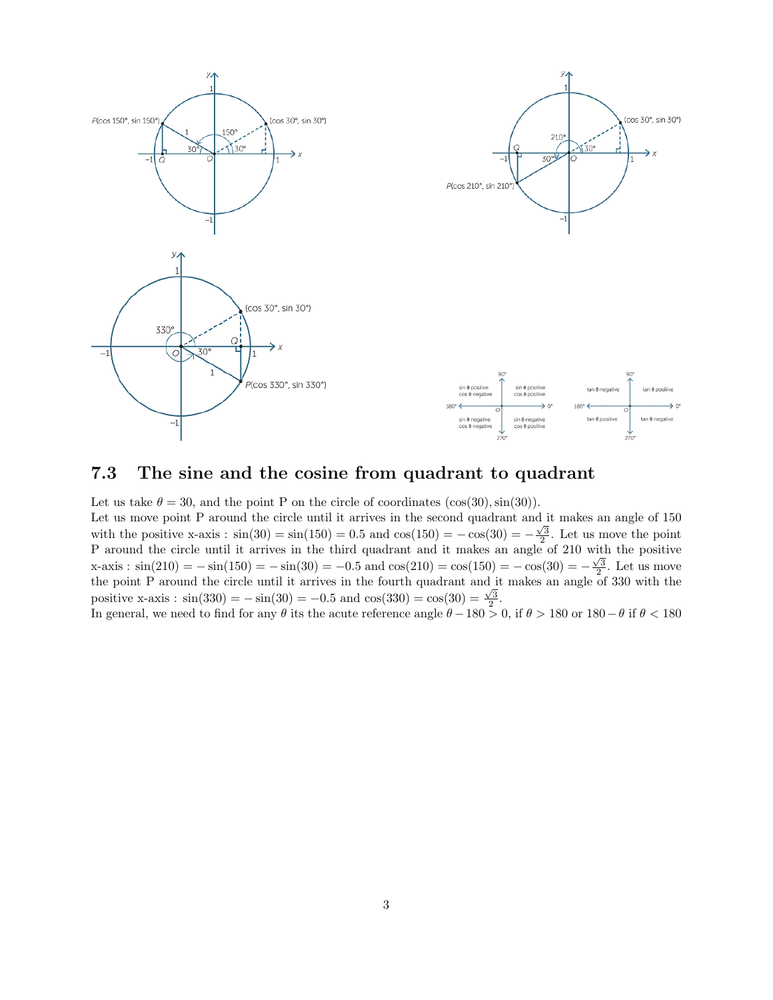

## 7.3 The sine and the cosine from quadrant to quadrant

Let us take  $\theta = 30$ , and the point P on the circle of coordinates (cos(30), sin(30)).

Let us move point P around the circle until it arrives in the second quadrant and it makes an angle of 150 with the positive x-axis :  $sin(30) = sin(150) = 0.5$  and  $cos(150) = -cos(30) = -\frac{\sqrt{3}}{2}$ . Let us move the point P around the circle until it arrives in the third quadrant and it makes an angle of 210 with the positive  $x\text{-axis}: \sin(210) = -\sin(150) = -\sin(30) = -0.5 \text{ and } \cos(210) = \cos(150) = -\cos(30) = -\frac{\sqrt{3}}{2}$ . Let us move the point P around the circle until it arrives in the fourth quadrant and it makes an angle of 330 with the positive x-axis :  $\sin(330) = -\sin(30) = -0.5$  and  $\cos(330) = \cos(30) = \frac{\sqrt{3}}{2}$ .

In general, we need to find for any  $\theta$  its the acute reference angle  $\theta - 180 > 0$ , if  $\theta > 180$  or  $180 - \theta$  if  $\theta < 180$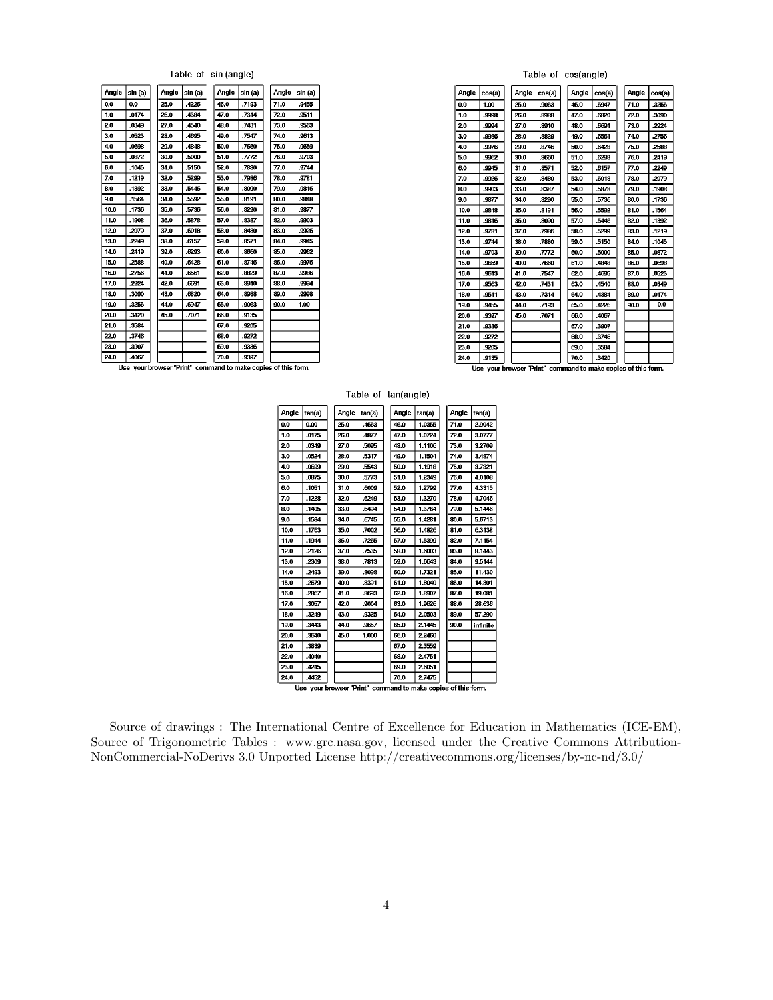#### Table of sin (angle)

| Angle | sin (a) | Angle | sin (a) | Angle | sin (a) | Angle | sin (a) |
|-------|---------|-------|---------|-------|---------|-------|---------|
| 0.0   | 0.0     | 25.0  | 4226    | 46.0  | .7193   | 71.0  | .9455   |
| 1.0   | .0174   | 26.0  | 4384    | 47.0  | .7314   | 72.0  | .9511   |
| 2.0   | .0349   | 27.0  | 4540    | 48.0  | .7431   | 73.0  | 9563    |
| 3.0   | .0523   | 28.0  | 4695    | 49.0  | .7547   | 74.0  | .9613   |
| 4.0   | .0698   | 29.0  | 4848    | 50.0  | .7660   | 75.0  | 9659    |
| 5.0   | .0872   | 30.0  | .5000   | 51.0  | .7772   | 76.0  | .9703   |
| 6.0   | .1045   | 31.0  | .5150   | 52.0  | .7880   | 77.0  | .9744   |
| 7.0   | .1219   | 32.0  | 5299    | 53.0  | .7936   | 78.0  | .9781   |
| 8.0   | .1392   | 33.0  | 5446    | 54.0  | .8090   | 79.0  | 9816    |
| 9.0   | .1564   | 34.0  | 5592    | 55.0  | .8191   | 80.0  | .9848   |
| 10.0  | .1736   | 35.0  | .5736   | 56.0  | .8290   | 81.0  | .9877   |
| 11.0  | .1908   | 36.0  | .5878   | 57.0  | .8387   | 82.0  | .9903   |
| 12.0  | .2079   | 37.0  | .6018   | 58.0  | .8480   | 83.0  | .9926   |
| 13.0  | .2249   | 38.0  | 6157    | 59.0  | .8571   | 84.0  | .9945   |
| 14.0  | .2419   | 39.0  | .6293   | 60.0  | .8660   | 85.0  | .9962   |
| 15.0  | .2588   | 40.0  | .6428   | 61.0  | .8746   | 86.0  | .9976   |
| 16.0  | .2756   | 41.0  | .6561   | 62.0  | .8829   | 87.0  | .9986   |
| 17.0  | .2924   | 42.0  | 6691    | 63.0  | .8910   | 88.0  | 9994    |
| 18.0  | .3090   | 43.0  | .6820   | 64.0  | .8988   | 89.0  | .9998   |
| 19.0  | .3256   | 44.0  | .6947   | 65.0  | .9063   | 90.0  | 1.00    |
| 20.0  | .3420   | 45.0  | .7071   | 66.0  | .9135   |       |         |
| 21.0  | .3584   |       |         | 67.0  | .9205   |       |         |
| 22.0  | .3746   |       |         | 68.0  | .9272   |       |         |
| 23.0  | .3907   |       |         | 69.0  | .9336   |       |         |
| 24.0  | .4067   |       |         | 70.0  | .9397   |       |         |

#### Table of cos(angle)

| Angle | cos(a) | Angle | cos(a) | Angle | cos(a) | Angle | cos(a) |
|-------|--------|-------|--------|-------|--------|-------|--------|
| 0.0   | 1.00   | 25.0  | .9063  | 46.0  | .6947  | 71.0  | .3256  |
| 1.0   | 9998   | 26.0  | .8988  | 47.0  | .6820  | 72.0  | .3090  |
| 2.0   | 9994   | 27.0  | .8910  | 48.0  | .6691  | 73.0  | .2924  |
| 3.0   | .9986  | 28.0  | .8829  | 49.0  | .6561  | 74.0  | .2756  |
| 4.0   | 9976   | 29.0  | .8746  | 50.0  | .6428  | 75.0  | .2588  |
| 5.0   | 9962   | 30.0  | .8660  | 51.0  | .6293  | 76.0  | .2419  |
| 6.0   | .9945  | 31.0  | .8571  | 52.0  | .6157  | 77.0  | .2249  |
| 7.0   | 9926   | 32.0  | .8480  | 53.0  | .6018  | 78.0  | .2079  |
| 8.0   | 9903   | 33.0  | 8387   | 54.0  | .5878  | 79.0  | .1908  |
| 9.0   | 9877   | 34.0  | .8290  | 55.0  | .5736  | 80.0  | .1736  |
| 10.0  | .9848  | 35.0  | .8191  | 56.0  | .5592  | 81.0  | .1564  |
| 11.0  | .9816  | 36.0  | .8090  | 57.0  | .5446  | 82.0  | .1392  |
| 12.0  | 9781   | 37.0  | .7986  | 58.0  | .5299  | 83.0  | .1219  |
| 13.0  | .9744  | 38.0  | .7880  | 59.0  | .5150  | 84.0  | .1045  |
| 14.0  | .9703  | 39.0  | .7772  | 60.0  | .5000  | 85.0  | .0872  |
| 15.0  | 9659   | 40.0  | .7660  | 61.0  | .4848  | 86.0  | .0698  |
| 16.0  | 9613   | 41.0  | 7547   | 62.0  | .4695  | 87.0  | .0523  |
| 17.0  | 9563   | 42.0  | .7431  | 63.0  | .4540  | 88.0  | .0349  |
| 18.0  | .9511  | 43.0  | .7314  | 64.0  | .4384  | 89.0  | .0174  |
| 19.0  | .9455  | 44.0  | .7193  | 65.0  | .4226  | 90.0  | 0.0    |
| 20.0  | 9397   | 45.0  | .7071  | 66.0  | .4067  |       |        |
| 21.0  | 9336   |       |        | 67.0  | .3907  |       |        |
| 22.0  | .9272  |       |        | 68.0  | .3746  |       |        |
| 23.0  | .9205  |       |        | 69.0  | 3584   |       |        |
| 24.0  | 9135   |       |        | 70.0  | .3420  |       |        |

Use your browser "Print" command to make copies of this form.

Use your browser "Print" command to make copies of this form.

### Table of tan(angle)

| Angle                                                         | tan(a) |  | Angle | tan(a) |  | Angle | tan(a) |  | Angle | tan(a)   |
|---------------------------------------------------------------|--------|--|-------|--------|--|-------|--------|--|-------|----------|
| 0.0                                                           | 0.00   |  | 25.0  | .4663  |  | 46.0  | 10355  |  | 71.0  | 2.9042   |
| 1.0                                                           | .0175  |  | 26.0  | .4877  |  | 47.0  | 1.0724 |  | 72.0  | 3.0777   |
| 2.0                                                           | .0349  |  | 27.0  | .5095  |  | 48.0  | 1.1106 |  | 73.0  | 3.2709   |
| 3.0                                                           | .0524  |  | 28.0  | .5317  |  | 49.0  | 1.1504 |  | 74.0  | 3.4874   |
| 4.0                                                           | .0699  |  | 29.0  | .5543  |  | 50.0  | 1.1918 |  | 75.0  | 3.7321   |
| 5.0                                                           | .0875  |  | 30.0  | .5773  |  | 51.0  | 1.2349 |  | 76.0  | 4.0108   |
| 6.0                                                           | .1051  |  | 31.0  | .6009  |  | 52.0  | 1.2799 |  | 77.0  | 4.3315   |
| 7.0                                                           | .1228  |  | 32.0  | .6249  |  | 53.0  | 13270  |  | 78.0  | 4.7046   |
| 8.0                                                           | .1405  |  | 33.0  | .6494  |  | 54.0  | 1.3764 |  | 79.0  | 5.1446   |
| 9.0                                                           | .1584  |  | 34.0  | .6745  |  | 55.0  | 1.4281 |  | 80.0  | 5.6713   |
| 10.0                                                          | .1763  |  | 35.0  | .7002  |  | 56.0  | 1.4826 |  | 81.0  | 6.3138   |
| 11.0                                                          | .1944  |  | 36.0  | .7265  |  | 57.0  | 15399  |  | 82.0  | 7.1154   |
| 12.0                                                          | .2126  |  | 37.0  | .7535  |  | 58.0  | 1.6003 |  | 83.0  | 8.1443   |
| 13.0                                                          | .2309  |  | 38.0  | .7313  |  | 59.0  | 1.6643 |  | 84.0  | 9.5144   |
| 14.0                                                          | .2493  |  | 39.0  | 8098   |  | 60.0  | 1.7321 |  | 85.0  | 11.430   |
| 15.0                                                          | .2679  |  | 40.0  | .8391  |  | 61.0  | 1.8040 |  | 86.0  | 14.301   |
| 16.0                                                          | .2867  |  | 41.0  | .8693  |  | 62.0  | 1.8907 |  | 87.0  | 19.081   |
| 17.0                                                          | 3057   |  | 42.0  | .9004  |  | 63.0  | 1.9626 |  | 88.0  | 28.636   |
| 18.0                                                          | .3249  |  | 43.0  | .9325  |  | 64.0  | 2.0503 |  | 89.0  | 57,290   |
| 19.0                                                          | .3443  |  | 44.0  | .9657  |  | 65.0  | 2.1445 |  | 90.0  | infinite |
| 20.0                                                          | .3640  |  | 45.0  | 1.000  |  | 66.0  | 2.2460 |  |       |          |
| 21.0                                                          | .3839  |  |       |        |  | 67.0  | 23559  |  |       |          |
| 22.0                                                          | 4040   |  |       |        |  | 68.0  | 2.4751 |  |       |          |
| 23.0                                                          | .4245  |  |       |        |  | 69.0  | 2.6051 |  |       |          |
| 24.0                                                          | .4452  |  |       |        |  | 70.0  | 2.7475 |  |       |          |
| Use your browser "Print" command to make copies of this form. |        |  |       |        |  |       |        |  |       |          |
|                                                               |        |  |       |        |  |       |        |  |       |          |

Source of drawings : The International Centre of Excellence for Education in Mathematics (ICE-EM), Source of Trigonometric Tables : www.grc.nasa.gov, licensed under the Creative Commons Attribution-NonCommercial-NoDerivs 3.0 Unported License http://creativecommons.org/licenses/by-nc-nd/3.0/